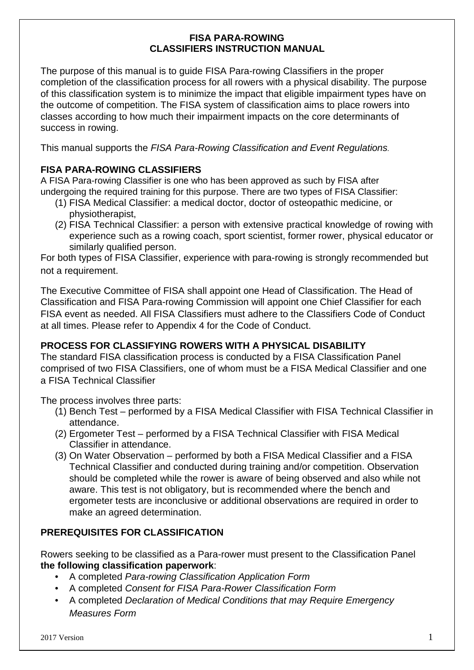## **FISA PARA-ROWING CLASSIFIERS INSTRUCTION MANUAL**

The purpose of this manual is to guide FISA Para-rowing Classifiers in the proper completion of the classification process for all rowers with a physical disability. The purpose of this classification system is to minimize the impact that eligible impairment types have on the outcome of competition. The FISA system of classification aims to place rowers into classes according to how much their impairment impacts on the core determinants of success in rowing.

This manual supports the *FISA Para-Rowing Classification and Event Regulations.*

## **FISA PARA-ROWING CLASSIFIERS**

A FISA Para-rowing Classifier is one who has been approved as such by FISA after undergoing the required training for this purpose. There are two types of FISA Classifier:

- (1) FISA Medical Classifier: a medical doctor, doctor of osteopathic medicine, or physiotherapist,
- (2) FISA Technical Classifier: a person with extensive practical knowledge of rowing with experience such as a rowing coach, sport scientist, former rower, physical educator or similarly qualified person.

For both types of FISA Classifier, experience with para-rowing is strongly recommended but not a requirement.

The Executive Committee of FISA shall appoint one Head of Classification. The Head of Classification and FISA Para-rowing Commission will appoint one Chief Classifier for each FISA event as needed. All FISA Classifiers must adhere to the Classifiers Code of Conduct at all times. Please refer to Appendix 4 for the Code of Conduct.

## **PROCESS FOR CLASSIFYING ROWERS WITH A PHYSICAL DISABILITY**

The standard FISA classification process is conducted by a FISA Classification Panel comprised of two FISA Classifiers, one of whom must be a FISA Medical Classifier and one a FISA Technical Classifier

The process involves three parts:

- (1) Bench Test performed by a FISA Medical Classifier with FISA Technical Classifier in attendance.
- (2) Ergometer Test performed by a FISA Technical Classifier with FISA Medical Classifier in attendance.
- (3) On Water Observation performed by both a FISA Medical Classifier and a FISA Technical Classifier and conducted during training and/or competition. Observation should be completed while the rower is aware of being observed and also while not aware. This test is not obligatory, but is recommended where the bench and ergometer tests are inconclusive or additional observations are required in order to make an agreed determination.

## **PREREQUISITES FOR CLASSIFICATION**

Rowers seeking to be classified as a Para-rower must present to the Classification Panel **the following classification paperwork**:

- A completed *Para-rowing Classification Application Form*
- A completed *Consent for FISA Para-Rower Classification Form*
- A completed *Declaration of Medical Conditions that may Require Emergency Measures Form*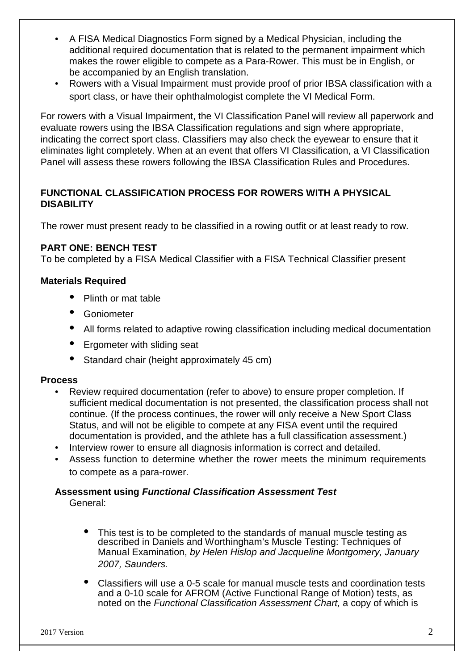- A FISA Medical Diagnostics Form signed by a Medical Physician, including the additional required documentation that is related to the permanent impairment which makes the rower eligible to compete as a Para-Rower. This must be in English, or be accompanied by an English translation.
- Rowers with a Visual Impairment must provide proof of prior IBSA classification with a sport class, or have their ophthalmologist complete the VI Medical Form.

For rowers with a Visual Impairment, the VI Classification Panel will review all paperwork and evaluate rowers using the IBSA Classification regulations and sign where appropriate, indicating the correct sport class. Classifiers may also check the eyewear to ensure that it eliminates light completely. When at an event that offers VI Classification, a VI Classification Panel will assess these rowers following the IBSA Classification Rules and Procedures.

## **FUNCTIONAL CLASSIFICATION PROCESS FOR ROWERS WITH A PHYSICAL DISABILITY**

The rower must present ready to be classified in a rowing outfit or at least ready to row.

## **PART ONE: BENCH TEST**

To be completed by a FISA Medical Classifier with a FISA Technical Classifier present

### **Materials Required**

- Plinth or mat table
- **Goniometer**
- All forms related to adaptive rowing classification including medical documentation
- Ergometer with sliding seat
- Standard chair (height approximately 45 cm)

#### **Process**

- Review required documentation (refer to above) to ensure proper completion. If sufficient medical documentation is not presented, the classification process shall not continue. (If the process continues, the rower will only receive a New Sport Class Status, and will not be eligible to compete at any FISA event until the required documentation is provided, and the athlete has a full classification assessment.)
- Interview rower to ensure all diagnosis information is correct and detailed.
- Assess function to determine whether the rower meets the minimum requirements to compete as a para-rower.

# **Assessment using** *Functional Classification Assessment Test*

General:

- This test is to be completed to the standards of manual muscle testing as described in Daniels and Worthingham's Muscle Testing: Techniques of Manual Examination, *by Helen Hislop and Jacqueline Montgomery, January 2007, Saunders.*
- Classifiers will use a 0-5 scale for manual muscle tests and coordination tests and a 0-10 scale for AFROM (Active Functional Range of Motion) tests, as noted on the *Functional Classification Assessment Chart,* a copy of which is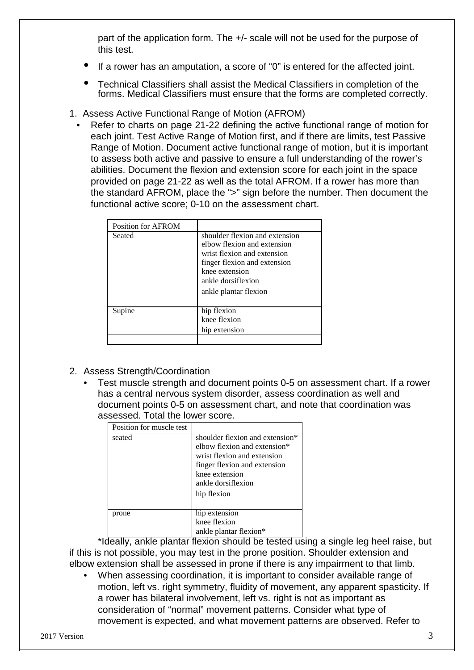part of the application form*.* The +/- scale will not be used for the purpose of this test.

- If a rower has an amputation, a score of "0" is entered for the affected joint.
- Technical Classifiers shall assist the Medical Classifiers in completion of the forms. Medical Classifiers must ensure that the forms are completed correctly.
- 1. Assess Active Functional Range of Motion (AFROM)
	- Refer to charts on page 21-22 defining the active functional range of motion for each joint. Test Active Range of Motion first, and if there are limits, test Passive Range of Motion. Document active functional range of motion, but it is important to assess both active and passive to ensure a full understanding of the rower's abilities. Document the flexion and extension score for each joint in the space provided on page 21-22 as well as the total AFROM. If a rower has more than the standard AFROM, place the ">" sign before the number. Then document the functional active score; 0-10 on the assessment chart.

| Position for AFROM |                                                                                                                                                                                               |
|--------------------|-----------------------------------------------------------------------------------------------------------------------------------------------------------------------------------------------|
| Seated             | shoulder flexion and extension<br>elbow flexion and extension<br>wrist flexion and extension<br>finger flexion and extension<br>knee extension<br>ankle dorsiflexion<br>ankle plantar flexion |
| Supine             | hip flexion<br>knee flexion<br>hip extension                                                                                                                                                  |
|                    |                                                                                                                                                                                               |

- 2. Assess Strength/Coordination
	- Test muscle strength and document points 0-5 on assessment chart. If a rower has a central nervous system disorder, assess coordination as well and document points 0-5 on assessment chart, and note that coordination was assessed. Total the lower score.

| Position for muscle test |                                                                                                                                                                                       |
|--------------------------|---------------------------------------------------------------------------------------------------------------------------------------------------------------------------------------|
| seated                   | shoulder flexion and extension*<br>elbow flexion and extension*<br>wrist flexion and extension<br>finger flexion and extension<br>knee extension<br>ankle dorsiflexion<br>hip flexion |
| prone                    | hip extension<br>knee flexion<br>ankle plantar flexion*                                                                                                                               |

\*Ideally, ankle plantar flexion should be tested using a single leg heel raise, but if this is not possible, you may test in the prone position. Shoulder extension and elbow extension shall be assessed in prone if there is any impairment to that limb.

• When assessing coordination, it is important to consider available range of motion, left vs. right symmetry, fluidity of movement, any apparent spasticity. If a rower has bilateral involvement, left vs. right is not as important as consideration of "normal" movement patterns. Consider what type of movement is expected, and what movement patterns are observed. Refer to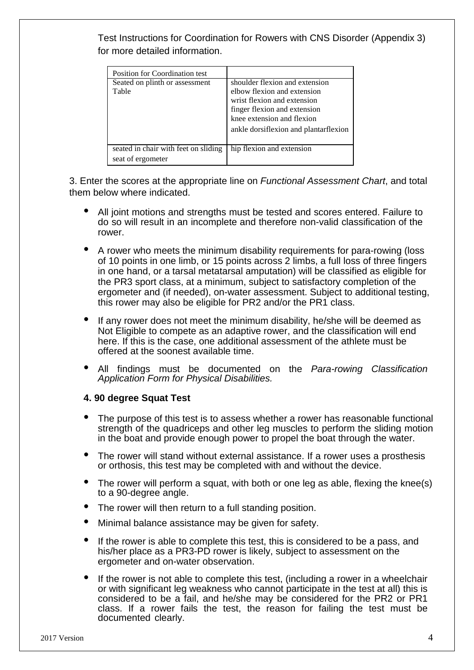Test Instructions for Coordination for Rowers with CNS Disorder (Appendix 3) for more detailed information.

| <b>Position for Coordination test</b>                     |                                                                                                                                                                                                     |
|-----------------------------------------------------------|-----------------------------------------------------------------------------------------------------------------------------------------------------------------------------------------------------|
| Seated on plinth or assessment<br>Table                   | shoulder flexion and extension<br>elbow flexion and extension<br>wrist flexion and extension<br>finger flexion and extension<br>knee extension and flexion<br>ankle dorsiflexion and plantarflexion |
| seated in chair with feet on sliding<br>seat of ergometer | hip flexion and extension                                                                                                                                                                           |

3. Enter the scores at the appropriate line on *Functional Assessment Chart*, and total them below where indicated.

- All joint motions and strengths must be tested and scores entered. Failure to do so will result in an incomplete and therefore non-valid classification of the rower.
- A rower who meets the minimum disability requirements for para-rowing (loss of 10 points in one limb, or 15 points across 2 limbs, a full loss of three fingers in one hand, or a tarsal metatarsal amputation) will be classified as eligible for the PR3 sport class, at a minimum, subject to satisfactory completion of the ergometer and (if needed), on-water assessment. Subject to additional testing, this rower may also be eligible for PR2 and/or the PR1 class.
- If any rower does not meet the minimum disability, he/she will be deemed as Not Eligible to compete as an adaptive rower, and the classification will end here. If this is the case, one additional assessment of the athlete must be offered at the soonest available time.
- All findings must be documented on the *Para-rowing Classification Application Form for Physical Disabilities.*

#### **4. 90 degree Squat Test**

- The purpose of this test is to assess whether a rower has reasonable functional strength of the quadriceps and other leg muscles to perform the sliding motion in the boat and provide enough power to propel the boat through the water.
- The rower will stand without external assistance. If a rower uses a prosthesis or orthosis, this test may be completed with and without the device.
- The rower will perform a squat, with both or one leg as able, flexing the knee(s) to a 90-degree angle.
- The rower will then return to a full standing position.
- Minimal balance assistance may be given for safety.
- If the rower is able to complete this test, this is considered to be a pass, and his/her place as a PR3-PD rower is likely, subject to assessment on the ergometer and on-water observation.
- If the rower is not able to complete this test, (including a rower in a wheelchair or with significant leg weakness who cannot participate in the test at all) this is considered to be a fail, and he/she may be considered for the PR2 or PR1 class. If a rower fails the test, the reason for failing the test must be documented clearly.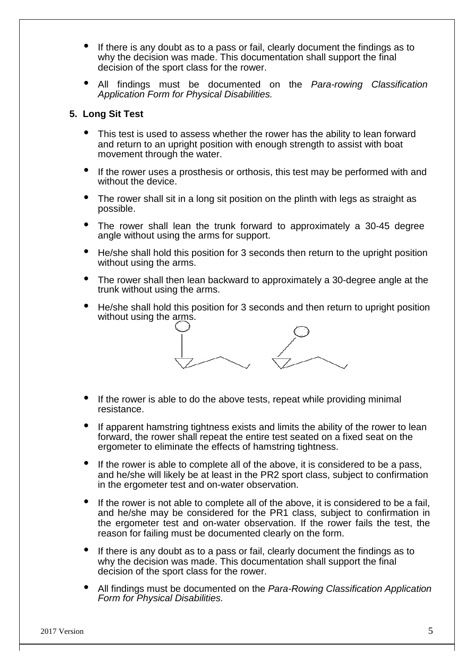- If there is any doubt as to a pass or fail, clearly document the findings as to why the decision was made. This documentation shall support the final decision of the sport class for the rower.
- All findings must be documented on the *Para-rowing Classification Application Form for Physical Disabilities.*

#### **5. Long Sit Test**

- This test is used to assess whether the rower has the ability to lean forward and return to an upright position with enough strength to assist with boat movement through the water.
- If the rower uses a prosthesis or orthosis, this test may be performed with and without the device.
- The rower shall sit in a long sit position on the plinth with legs as straight as possible.
- The rower shall lean the trunk forward to approximately a 30-45 degree angle without using the arms for support.
- He/she shall hold this position for 3 seconds then return to the upright position without using the arms.
- The rower shall then lean backward to approximately a 30-degree angle at the trunk without using the arms.
- He/she shall hold this position for 3 seconds and then return to upright position without using the arms.



- If the rower is able to do the above tests, repeat while providing minimal resistance.
- If apparent hamstring tightness exists and limits the ability of the rower to lean forward, the rower shall repeat the entire test seated on a fixed seat on the ergometer to eliminate the effects of hamstring tightness.
- If the rower is able to complete all of the above, it is considered to be a pass, and he/she will likely be at least in the PR2 sport class, subject to confirmation in the ergometer test and on-water observation.
- If the rower is not able to complete all of the above, it is considered to be a fail, and he/she may be considered for the PR1 class, subject to confirmation in the ergometer test and on-water observation. If the rower fails the test, the reason for failing must be documented clearly on the form.
- If there is any doubt as to a pass or fail, clearly document the findings as to why the decision was made. This documentation shall support the final decision of the sport class for the rower.
- All findings must be documented on the *Para-Rowing Classification Application Form for Physical Disabilities.*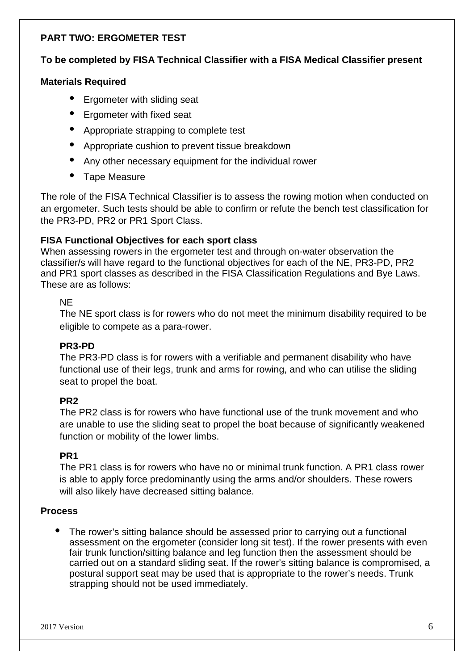## **PART TWO: ERGOMETER TEST**

## **To be completed by FISA Technical Classifier with a FISA Medical Classifier present**

#### **Materials Required**

- Ergometer with sliding seat
- Ergometer with fixed seat
- Appropriate strapping to complete test
- Appropriate cushion to prevent tissue breakdown
- Any other necessary equipment for the individual rower
- Tape Measure

The role of the FISA Technical Classifier is to assess the rowing motion when conducted on an ergometer. Such tests should be able to confirm or refute the bench test classification for the PR3-PD, PR2 or PR1 Sport Class.

### **FISA Functional Objectives for each sport class**

When assessing rowers in the ergometer test and through on-water observation the classifier/s will have regard to the functional objectives for each of the NE, PR3-PD, PR2 and PR1 sport classes as described in the FISA Classification Regulations and Bye Laws. These are as follows:

#### NE

The NE sport class is for rowers who do not meet the minimum disability required to be eligible to compete as a para-rower.

#### **PR3-PD**

The PR3-PD class is for rowers with a verifiable and permanent disability who have functional use of their legs, trunk and arms for rowing, and who can utilise the sliding seat to propel the boat.

#### **PR2**

The PR2 class is for rowers who have functional use of the trunk movement and who are unable to use the sliding seat to propel the boat because of significantly weakened function or mobility of the lower limbs.

#### **PR1**

The PR1 class is for rowers who have no or minimal trunk function. A PR1 class rower is able to apply force predominantly using the arms and/or shoulders. These rowers will also likely have decreased sitting balance.

#### **Process**

The rower's sitting balance should be assessed prior to carrying out a functional assessment on the ergometer (consider long sit test). If the rower presents with even fair trunk function/sitting balance and leg function then the assessment should be carried out on a standard sliding seat. If the rower's sitting balance is compromised, a postural support seat may be used that is appropriate to the rower's needs. Trunk strapping should not be used immediately.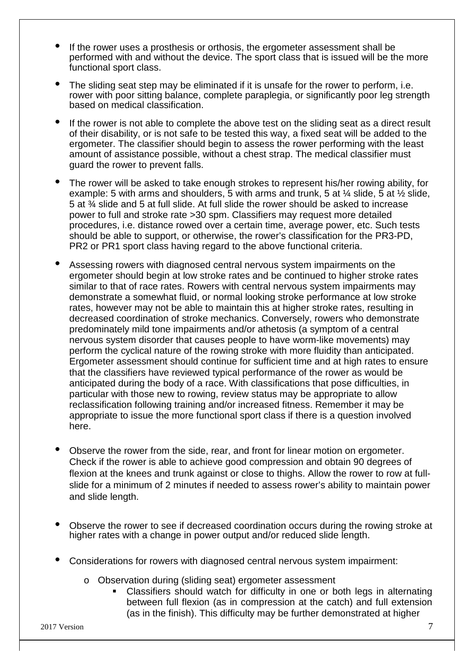- If the rower uses a prosthesis or orthosis, the ergometer assessment shall be performed with and without the device. The sport class that is issued will be the more functional sport class.
- The sliding seat step may be eliminated if it is unsafe for the rower to perform. i.e. rower with poor sitting balance, complete paraplegia, or significantly poor leg strength based on medical classification.
- If the rower is not able to complete the above test on the sliding seat as a direct result of their disability, or is not safe to be tested this way, a fixed seat will be added to the ergometer. The classifier should begin to assess the rower performing with the least amount of assistance possible, without a chest strap. The medical classifier must guard the rower to prevent falls.
- The rower will be asked to take enough strokes to represent his/her rowing ability, for example: 5 with arms and shoulders, 5 with arms and trunk, 5 at  $\frac{1}{4}$  slide, 5 at  $\frac{1}{2}$  slide, 5 at ¾ slide and 5 at full slide. At full slide the rower should be asked to increase power to full and stroke rate >30 spm. Classifiers may request more detailed procedures, i.e. distance rowed over a certain time, average power, etc. Such tests should be able to support, or otherwise, the rower's classification for the PR3-PD, PR2 or PR1 sport class having regard to the above functional criteria.
- Assessing rowers with diagnosed central nervous system impairments on the ergometer should begin at low stroke rates and be continued to higher stroke rates similar to that of race rates. Rowers with central nervous system impairments may demonstrate a somewhat fluid, or normal looking stroke performance at low stroke rates, however may not be able to maintain this at higher stroke rates, resulting in decreased coordination of stroke mechanics. Conversely, rowers who demonstrate predominately mild tone impairments and/or athetosis (a symptom of a central nervous system disorder that causes people to have worm-like movements) may perform the cyclical nature of the rowing stroke with more fluidity than anticipated. Ergometer assessment should continue for sufficient time and at high rates to ensure that the classifiers have reviewed typical performance of the rower as would be anticipated during the body of a race. With classifications that pose difficulties, in particular with those new to rowing, review status may be appropriate to allow reclassification following training and/or increased fitness. Remember it may be appropriate to issue the more functional sport class if there is a question involved here.
- Observe the rower from the side, rear, and front for linear motion on ergometer. Check if the rower is able to achieve good compression and obtain 90 degrees of flexion at the knees and trunk against or close to thighs. Allow the rower to row at fullslide for a minimum of 2 minutes if needed to assess rower's ability to maintain power and slide length.
- Observe the rower to see if decreased coordination occurs during the rowing stroke at higher rates with a change in power output and/or reduced slide length.
- Considerations for rowers with diagnosed central nervous system impairment:
	- o Observation during (sliding seat) ergometer assessment
		- Classifiers should watch for difficulty in one or both legs in alternating between full flexion (as in compression at the catch) and full extension (as in the finish). This difficulty may be further demonstrated at higher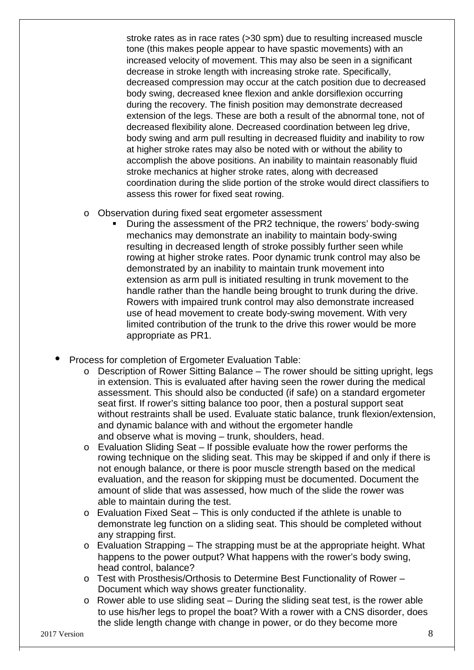stroke rates as in race rates (>30 spm) due to resulting increased muscle tone (this makes people appear to have spastic movements) with an increased velocity of movement. This may also be seen in a significant decrease in stroke length with increasing stroke rate. Specifically, decreased compression may occur at the catch position due to decreased body swing, decreased knee flexion and ankle dorsiflexion occurring during the recovery. The finish position may demonstrate decreased extension of the legs. These are both a result of the abnormal tone, not of decreased flexibility alone. Decreased coordination between leg drive, body swing and arm pull resulting in decreased fluidity and inability to row at higher stroke rates may also be noted with or without the ability to accomplish the above positions. An inability to maintain reasonably fluid stroke mechanics at higher stroke rates, along with decreased coordination during the slide portion of the stroke would direct classifiers to assess this rower for fixed seat rowing.

- o Observation during fixed seat ergometer assessment
	- During the assessment of the PR2 technique, the rowers' body-swing mechanics may demonstrate an inability to maintain body-swing resulting in decreased length of stroke possibly further seen while rowing at higher stroke rates. Poor dynamic trunk control may also be demonstrated by an inability to maintain trunk movement into extension as arm pull is initiated resulting in trunk movement to the handle rather than the handle being brought to trunk during the drive. Rowers with impaired trunk control may also demonstrate increased use of head movement to create body-swing movement. With very limited contribution of the trunk to the drive this rower would be more appropriate as PR1.
- Process for completion of Ergometer Evaluation Table:
	- o Description of Rower Sitting Balance The rower should be sitting upright, legs in extension. This is evaluated after having seen the rower during the medical assessment. This should also be conducted (if safe) on a standard ergometer seat first. If rower's sitting balance too poor, then a postural support seat without restraints shall be used. Evaluate static balance, trunk flexion/extension, and dynamic balance with and without the ergometer handle and observe what is moving – trunk, shoulders, head.
	- o Evaluation Sliding Seat If possible evaluate how the rower performs the rowing technique on the sliding seat. This may be skipped if and only if there is not enough balance, or there is poor muscle strength based on the medical evaluation, and the reason for skipping must be documented. Document the amount of slide that was assessed, how much of the slide the rower was able to maintain during the test.
	- o Evaluation Fixed Seat This is only conducted if the athlete is unable to demonstrate leg function on a sliding seat. This should be completed without any strapping first.
	- $\circ$  Evaluation Strapping The strapping must be at the appropriate height. What happens to the power output? What happens with the rower's body swing, head control, balance?
	- o Test with Prosthesis/Orthosis to Determine Best Functionality of Rower Document which way shows greater functionality.
	- o Rower able to use sliding seat During the sliding seat test, is the rower able to use his/her legs to propel the boat? With a rower with a CNS disorder, does the slide length change with change in power, or do they become more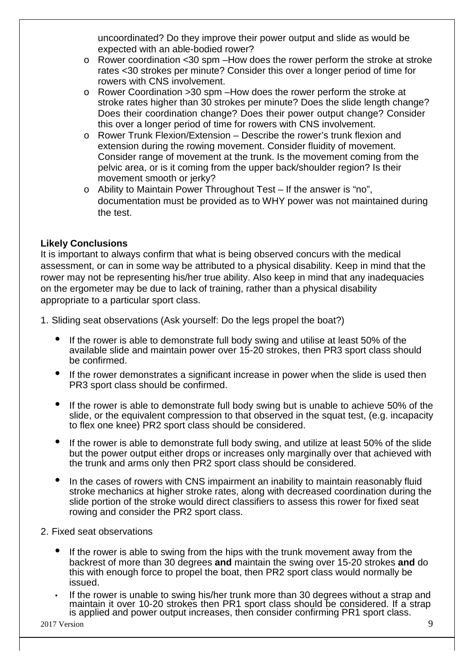uncoordinated? Do they improve their power output and slide as would be expected with an able-bodied rower?

- o Rower coordination <30 spm –How does the rower perform the stroke at stroke rates <30 strokes per minute? Consider this over a longer period of time for rowers with CNS involvement.
- o Rower Coordination >30 spm –How does the rower perform the stroke at stroke rates higher than 30 strokes per minute? Does the slide length change? Does their coordination change? Does their power output change? Consider this over a longer period of time for rowers with CNS involvement.
- o Rower Trunk Flexion/Extension Describe the rower's trunk flexion and extension during the rowing movement. Consider fluidity of movement. Consider range of movement at the trunk. Is the movement coming from the pelvic area, or is it coming from the upper back/shoulder region? Is their movement smooth or jerky?
- o Ability to Maintain Power Throughout Test If the answer is "no", documentation must be provided as to WHY power was not maintained during the test.

## **Likely Conclusions**

It is important to always confirm that what is being observed concurs with the medical assessment, or can in some way be attributed to a physical disability. Keep in mind that the rower may not be representing his/her true ability. Also keep in mind that any inadequacies on the ergometer may be due to lack of training, rather than a physical disability appropriate to a particular sport class.

- 1. Sliding seat observations (Ask yourself: Do the legs propel the boat?)
	- If the rower is able to demonstrate full body swing and utilise at least 50% of the available slide and maintain power over 15-20 strokes, then PR3 sport class should be confirmed.
	- If the rower demonstrates a significant increase in power when the slide is used then PR3 sport class should be confirmed.
	- If the rower is able to demonstrate full body swing but is unable to achieve 50% of the slide, or the equivalent compression to that observed in the squat test, (e.g. incapacity to flex one knee) PR2 sport class should be considered.
	- If the rower is able to demonstrate full body swing, and utilize at least 50% of the slide but the power output either drops or increases only marginally over that achieved with the trunk and arms only then PR2 sport class should be considered.
	- In the cases of rowers with CNS impairment an inability to maintain reasonably fluid stroke mechanics at higher stroke rates, along with decreased coordination during the slide portion of the stroke would direct classifiers to assess this rower for fixed seat rowing and consider the PR2 sport class.
- 2. Fixed seat observations
	- If the rower is able to swing from the hips with the trunk movement away from the backrest of more than 30 degrees **and** maintain the swing over 15-20 strokes **and** do this with enough force to propel the boat, then PR2 sport class would normally be issued.
	- If the rower is unable to swing his/her trunk more than 30 degrees without a strap and maintain it over 10-20 strokes then PR1 sport class should be considered. If a strap is applied and power output increases, then consider confirming PR1 sport class.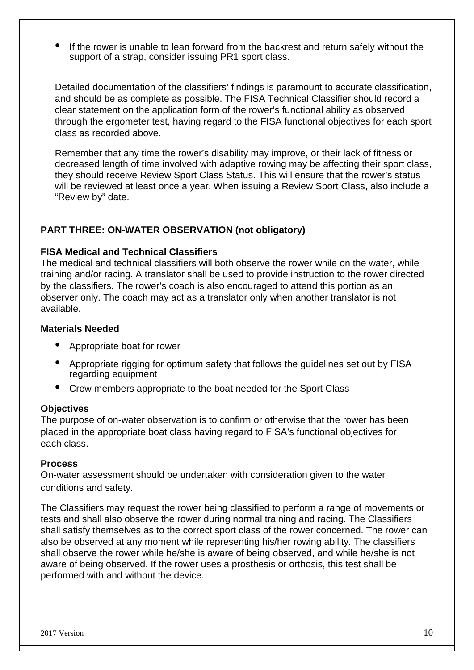• If the rower is unable to lean forward from the backrest and return safely without the support of a strap, consider issuing PR1 sport class.

Detailed documentation of the classifiers' findings is paramount to accurate classification, and should be as complete as possible. The FISA Technical Classifier should record a clear statement on the application form of the rower's functional ability as observed through the ergometer test, having regard to the FISA functional objectives for each sport class as recorded above.

Remember that any time the rower's disability may improve, or their lack of fitness or decreased length of time involved with adaptive rowing may be affecting their sport class, they should receive Review Sport Class Status. This will ensure that the rower's status will be reviewed at least once a year. When issuing a Review Sport Class, also include a "Review by" date.

## **PART THREE: ON-WATER OBSERVATION (not obligatory)**

#### **FISA Medical and Technical Classifiers**

The medical and technical classifiers will both observe the rower while on the water, while training and/or racing. A translator shall be used to provide instruction to the rower directed by the classifiers. The rower's coach is also encouraged to attend this portion as an observer only. The coach may act as a translator only when another translator is not available.

#### **Materials Needed**

- Appropriate boat for rower
- Appropriate rigging for optimum safety that follows the guidelines set out by FISA regarding equipment
- Crew members appropriate to the boat needed for the Sport Class

#### **Objectives**

The purpose of on-water observation is to confirm or otherwise that the rower has been placed in the appropriate boat class having regard to FISA's functional objectives for each class.

#### **Process**

On-water assessment should be undertaken with consideration given to the water conditions and safety.

The Classifiers may request the rower being classified to perform a range of movements or tests and shall also observe the rower during normal training and racing. The Classifiers shall satisfy themselves as to the correct sport class of the rower concerned. The rower can also be observed at any moment while representing his/her rowing ability. The classifiers shall observe the rower while he/she is aware of being observed, and while he/she is not aware of being observed. If the rower uses a prosthesis or orthosis, this test shall be performed with and without the device.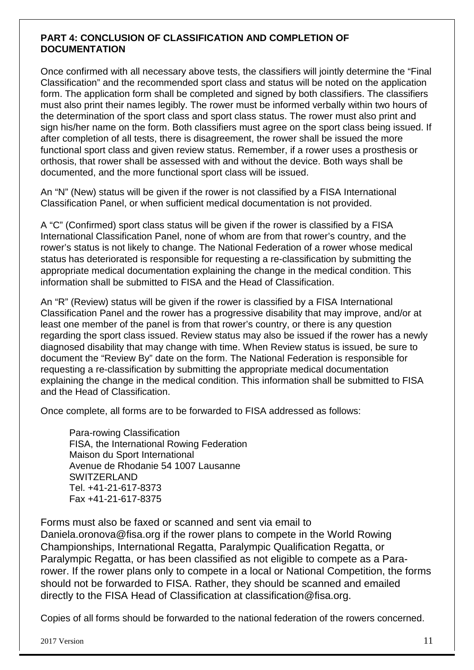## **PART 4: CONCLUSION OF CLASSIFICATION AND COMPLETION OF DOCUMENTATION**

Once confirmed with all necessary above tests, the classifiers will jointly determine the "Final Classification" and the recommended sport class and status will be noted on the application form. The application form shall be completed and signed by both classifiers. The classifiers must also print their names legibly. The rower must be informed verbally within two hours of the determination of the sport class and sport class status. The rower must also print and sign his/her name on the form. Both classifiers must agree on the sport class being issued. If after completion of all tests, there is disagreement, the rower shall be issued the more functional sport class and given review status. Remember, if a rower uses a prosthesis or orthosis, that rower shall be assessed with and without the device. Both ways shall be documented, and the more functional sport class will be issued.

An "N" (New) status will be given if the rower is not classified by a FISA International Classification Panel, or when sufficient medical documentation is not provided.

A "C" (Confirmed) sport class status will be given if the rower is classified by a FISA International Classification Panel, none of whom are from that rower's country, and the rower's status is not likely to change. The National Federation of a rower whose medical status has deteriorated is responsible for requesting a re-classification by submitting the appropriate medical documentation explaining the change in the medical condition. This information shall be submitted to FISA and the Head of Classification.

An "R" (Review) status will be given if the rower is classified by a FISA International Classification Panel and the rower has a progressive disability that may improve, and/or at least one member of the panel is from that rower's country, or there is any question regarding the sport class issued. Review status may also be issued if the rower has a newly diagnosed disability that may change with time. When Review status is issued, be sure to document the "Review By" date on the form. The National Federation is responsible for requesting a re-classification by submitting the appropriate medical documentation explaining the change in the medical condition. This information shall be submitted to FISA and the Head of Classification.

Once complete, all forms are to be forwarded to FISA addressed as follows:

Para-rowing Classification FISA, the International Rowing Federation Maison du Sport International Avenue de Rhodanie 54 1007 Lausanne SWITZERLAND Tel. +41-21-617-8373 Fax +41-21-617-8375

Forms must also be faxed or scanned and sent via email to Daniela.oronova@fisa.org if the rower plans to compete in the World Rowing Championships, International Regatta, Paralympic Qualification Regatta, or Paralympic Regatta, or has been classified as not eligible to compete as a Pararower. If the rower plans only to compete in a local or National Competition, the forms should not be forwarded to FISA. Rather, they should be scanned and emailed directly to the FISA Head of Classification at classification@fisa.org.

Copies of all forms should be forwarded to the national federation of the rowers concerned.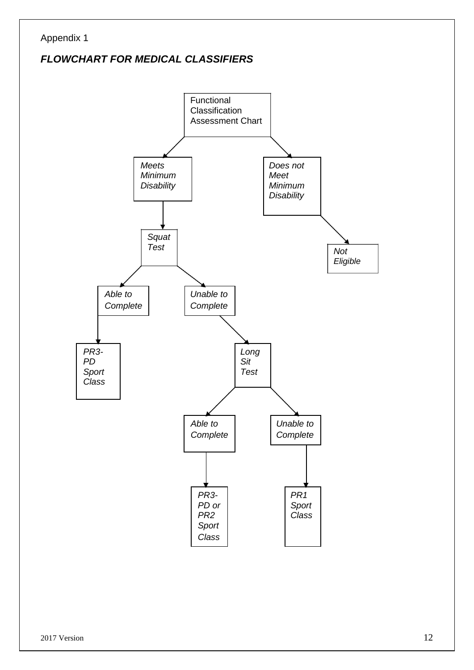## Appendix 1

## *FLOWCHART FOR MEDICAL CLASSIFIERS*

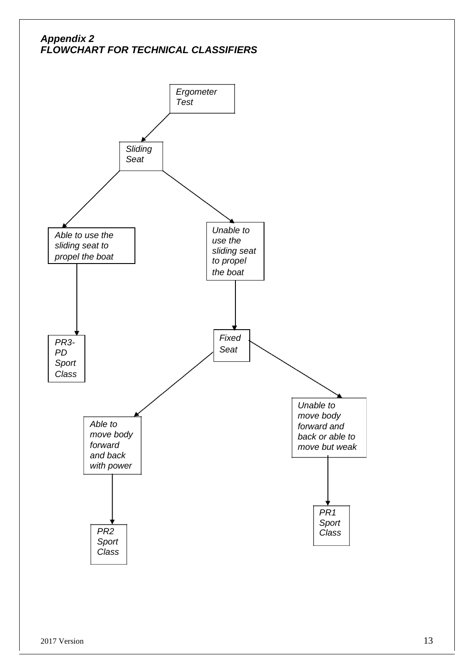## *Appendix 2 FLOWCHART FOR TECHNICAL CLASSIFIERS*

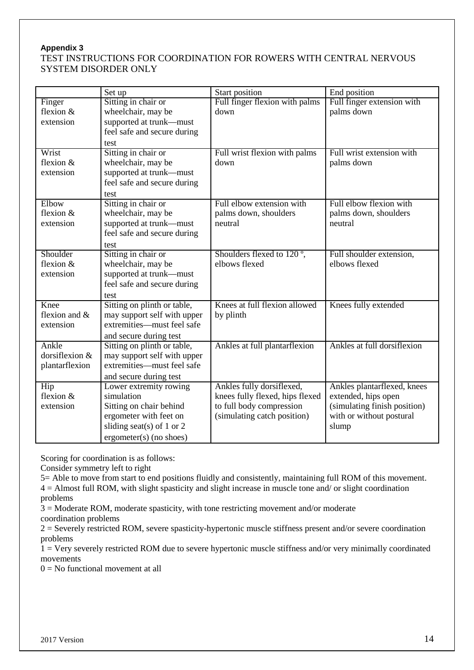#### **Appendix 3**

#### TEST INSTRUCTIONS FOR COORDINATION FOR ROWERS WITH CENTRAL NERVOUS SYSTEM DISORDER ONLY

|                | Set up                      | Start position                         | End position                 |
|----------------|-----------------------------|----------------------------------------|------------------------------|
| Finger         | Sitting in chair or         | Full finger flexion with palms         | Full finger extension with   |
| flexion $&$    | wheelchair, may be          | down                                   | palms down                   |
| extension      | supported at trunk-must     |                                        |                              |
|                | feel safe and secure during |                                        |                              |
|                | test                        |                                        |                              |
| Wrist          | Sitting in chair or         | Full wrist flexion with palms          | Full wrist extension with    |
| flexion $&$    | wheelchair, may be          | down                                   | palms down                   |
| extension      | supported at trunk-must     |                                        |                              |
|                | feel safe and secure during |                                        |                              |
|                | test                        |                                        |                              |
| Elbow          | Sitting in chair or         | Full elbow extension with              | Full elbow flexion with      |
| flexion $&$    | wheelchair, may be          | palms down, shoulders                  | palms down, shoulders        |
| extension      | supported at trunk-must     | neutral                                | neutral                      |
|                | feel safe and secure during |                                        |                              |
|                | test                        |                                        |                              |
| Shoulder       | Sitting in chair or         | Shoulders flexed to 120 <sup>°</sup> , | Full shoulder extension,     |
| flexion &      | wheelchair, may be          | elbows flexed                          | elbows flexed                |
| extension      | supported at trunk-must     |                                        |                              |
|                | feel safe and secure during |                                        |                              |
|                | test                        |                                        |                              |
| Knee           | Sitting on plinth or table, | Knees at full flexion allowed          | Knees fully extended         |
| flexion and &  | may support self with upper | by plinth                              |                              |
| extension      | extremities—must feel safe  |                                        |                              |
|                | and secure during test      |                                        |                              |
| Ankle          | Sitting on plinth or table, | Ankles at full plantarflexion          | Ankles at full dorsiflexion  |
| dorsiflexion & | may support self with upper |                                        |                              |
| plantarflexion | extremities-must feel safe  |                                        |                              |
|                | and secure during test      |                                        |                              |
| Hip            | Lower extremity rowing      | Ankles fully dorsiflexed,              | Ankles plantarflexed, knees  |
| flexion &      | simulation                  | knees fully flexed, hips flexed        | extended, hips open          |
| extension      | Sitting on chair behind     | to full body compression               | (simulating finish position) |
|                | ergometer with feet on      | (simulating catch position)            | with or without postural     |
|                | sliding seat(s) of 1 or 2   |                                        | slump                        |
|                | $ergometer(s)$ (no shoes)   |                                        |                              |

Scoring for coordination is as follows:

Consider symmetry left to right

5= Able to move from start to end positions fluidly and consistently, maintaining full ROM of this movement. 4 = Almost full ROM, with slight spasticity and slight increase in muscle tone and/ or slight coordination problems

3 = Moderate ROM, moderate spasticity, with tone restricting movement and/or moderate

coordination problems

2 = Severely restricted ROM, severe spasticity-hypertonic muscle stiffness present and/or severe coordination problems

1 = Very severely restricted ROM due to severe hypertonic muscle stiffness and/or very minimally coordinated movements

 $0 = No$  functional movement at all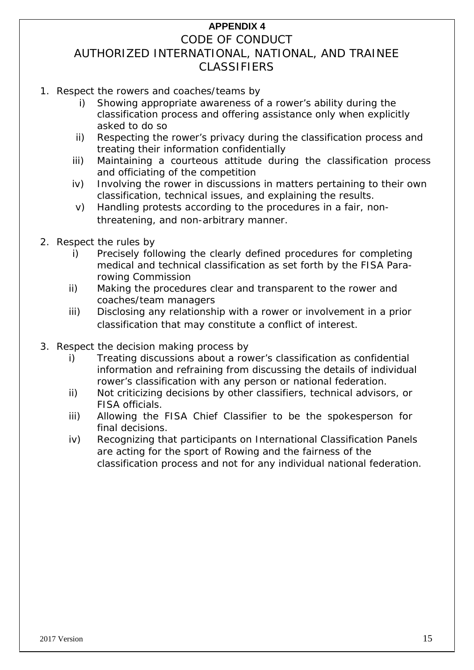## **APPENDIX 4**

## CODE OF CONDUCT AUTHORIZED INTERNATIONAL, NATIONAL, AND TRAINEE CLASSIFIERS

- 1. Respect the rowers and coaches/teams by
	- i) Showing appropriate awareness of a rower's ability during the classification process and offering assistance only when explicitly asked to do so
	- ii) Respecting the rower's privacy during the classification process and treating their information confidentially
	- iii) Maintaining a courteous attitude during the classification process and officiating of the competition
	- iv) Involving the rower in discussions in matters pertaining to their own classification, technical issues, and explaining the results.
	- v) Handling protests according to the procedures in a fair, nonthreatening, and non-arbitrary manner.
- 2. Respect the rules by
	- i) Precisely following the clearly defined procedures for completing medical and technical classification as set forth by the FISA Pararowing Commission
	- ii) Making the procedures clear and transparent to the rower and coaches/team managers
	- iii) Disclosing any relationship with a rower or involvement in a prior classification that may constitute a conflict of interest.
- 3. Respect the decision making process by
	- i) Treating discussions about a rower's classification as confidential information and refraining from discussing the details of individual rower's classification with any person or national federation.
	- ii) Not criticizing decisions by other classifiers, technical advisors, or FISA officials.
	- iii) Allowing the FISA Chief Classifier to be the spokesperson for final decisions.
	- iv) Recognizing that participants on International Classification Panels are acting for the sport of Rowing and the fairness of the classification process and not for any individual national federation.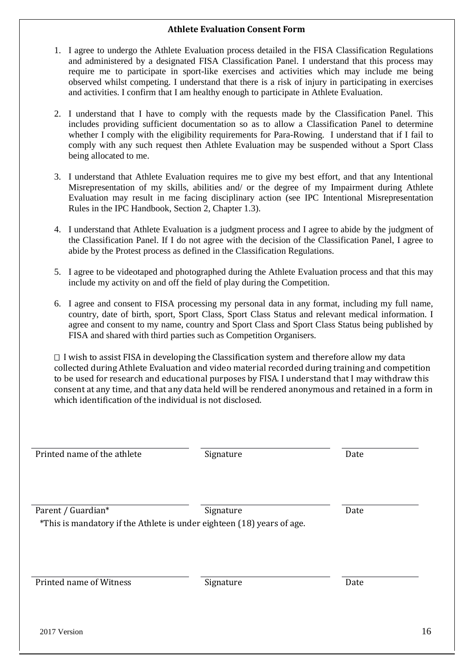#### **Athlete Evaluation Consent Form**

- 1. I agree to undergo the Athlete Evaluation process detailed in the FISA Classification Regulations and administered by a designated FISA Classification Panel. I understand that this process may require me to participate in sport-like exercises and activities which may include me being observed whilst competing. I understand that there is a risk of injury in participating in exercises and activities. I confirm that I am healthy enough to participate in Athlete Evaluation.
- 2. I understand that I have to comply with the requests made by the Classification Panel. This includes providing sufficient documentation so as to allow a Classification Panel to determine whether I comply with the eligibility requirements for Para-Rowing. I understand that if I fail to comply with any such request then Athlete Evaluation may be suspended without a Sport Class being allocated to me.
- 3. I understand that Athlete Evaluation requires me to give my best effort, and that any Intentional Misrepresentation of my skills, abilities and/ or the degree of my Impairment during Athlete Evaluation may result in me facing disciplinary action (see IPC Intentional Misrepresentation Rules in the IPC Handbook, Section 2, Chapter 1.3).
- 4. I understand that Athlete Evaluation is a judgment process and I agree to abide by the judgment of the Classification Panel. If I do not agree with the decision of the Classification Panel, I agree to abide by the Protest process as defined in the Classification Regulations.
- 5. I agree to be videotaped and photographed during the Athlete Evaluation process and that this may include my activity on and off the field of play during the Competition.
- 6. I agree and consent to FISA processing my personal data in any format, including my full name, country, date of birth, sport, Sport Class, Sport Class Status and relevant medical information. I agree and consent to my name, country and Sport Class and Sport Class Status being published by FISA and shared with third parties such as Competition Organisers.

 I wish to assist FISA in developing the Classification system and therefore allow my data collected during Athlete Evaluation and video material recorded during training and competition to be used for research and educational purposes by FISA. I understand that I may withdraw this consent at any time, and that any data held will be rendered anonymous and retained in a form in which identification of the individual is not disclosed.

| Printed name of the athlete                                                                  | Signature | Date |
|----------------------------------------------------------------------------------------------|-----------|------|
| Parent / Guardian*<br>*This is mandatory if the Athlete is under eighteen (18) years of age. | Signature | Date |
|                                                                                              |           |      |
| Printed name of Witness                                                                      | Signature | Date |
| 2017 Version                                                                                 |           | 16   |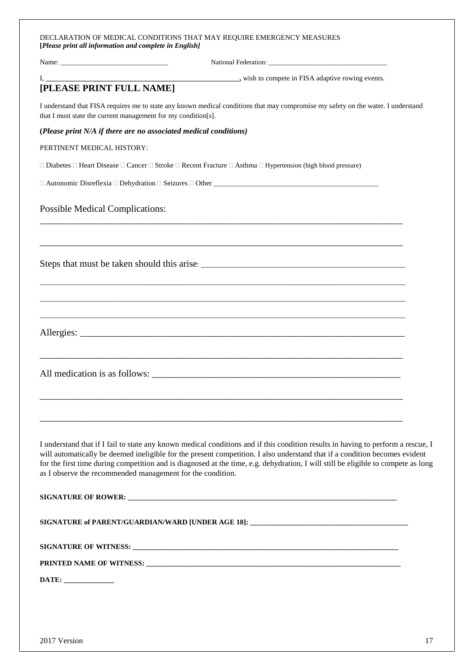| DECLARATION OF MEDICAL CONDITIONS THAT MAY REQUIRE EMERGENCY MEASURES |
|-----------------------------------------------------------------------|
| [Please print all information and complete in English]                |

| [PLEASE PRINT FULL NAME]<br>I understand that FISA requires me to state any known medical conditions that may compromise my safety on the water. I understand<br>that I must state the current management for my condition[s].<br>(Please print N/A if there are no associated medical conditions)<br>PERTINENT MEDICAL HISTORY:<br>$\Box$ Diabetes $\Box$ Heart Disease $\Box$ Cancer $\Box$ Stroke $\Box$ Recent Fracture $\Box$ Asthma $\Box$ Hypertension (high blood pressure)<br><b>Possible Medical Complications:</b><br>as I observe the recommended management for the condition.<br>SIGNATURE of PARENT/GUARDIAN/WARD [UNDER AGE 18]: _______________________________ |  |
|----------------------------------------------------------------------------------------------------------------------------------------------------------------------------------------------------------------------------------------------------------------------------------------------------------------------------------------------------------------------------------------------------------------------------------------------------------------------------------------------------------------------------------------------------------------------------------------------------------------------------------------------------------------------------------|--|
| I understand that if I fail to state any known medical conditions and if this condition results in having to perform a rescue, I<br>will automatically be deemed ineligible for the present competition. I also understand that if a condition becomes evident<br>for the first time during competition and is diagnosed at the time, e.g. dehydration, I will still be eligible to compete as long                                                                                                                                                                                                                                                                              |  |
|                                                                                                                                                                                                                                                                                                                                                                                                                                                                                                                                                                                                                                                                                  |  |
|                                                                                                                                                                                                                                                                                                                                                                                                                                                                                                                                                                                                                                                                                  |  |
|                                                                                                                                                                                                                                                                                                                                                                                                                                                                                                                                                                                                                                                                                  |  |
|                                                                                                                                                                                                                                                                                                                                                                                                                                                                                                                                                                                                                                                                                  |  |
|                                                                                                                                                                                                                                                                                                                                                                                                                                                                                                                                                                                                                                                                                  |  |
|                                                                                                                                                                                                                                                                                                                                                                                                                                                                                                                                                                                                                                                                                  |  |
|                                                                                                                                                                                                                                                                                                                                                                                                                                                                                                                                                                                                                                                                                  |  |
|                                                                                                                                                                                                                                                                                                                                                                                                                                                                                                                                                                                                                                                                                  |  |
|                                                                                                                                                                                                                                                                                                                                                                                                                                                                                                                                                                                                                                                                                  |  |
|                                                                                                                                                                                                                                                                                                                                                                                                                                                                                                                                                                                                                                                                                  |  |
|                                                                                                                                                                                                                                                                                                                                                                                                                                                                                                                                                                                                                                                                                  |  |
|                                                                                                                                                                                                                                                                                                                                                                                                                                                                                                                                                                                                                                                                                  |  |
|                                                                                                                                                                                                                                                                                                                                                                                                                                                                                                                                                                                                                                                                                  |  |
|                                                                                                                                                                                                                                                                                                                                                                                                                                                                                                                                                                                                                                                                                  |  |
|                                                                                                                                                                                                                                                                                                                                                                                                                                                                                                                                                                                                                                                                                  |  |
|                                                                                                                                                                                                                                                                                                                                                                                                                                                                                                                                                                                                                                                                                  |  |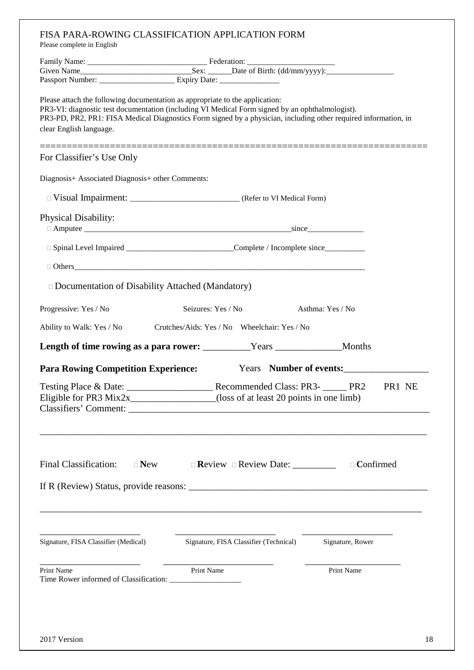| FISA PARA-ROWING CLASSIFICATION APPLICATION FORM<br>Please complete in English                                                                                                                                                                                                                                                |                                              |                                |                  |    |
|-------------------------------------------------------------------------------------------------------------------------------------------------------------------------------------------------------------------------------------------------------------------------------------------------------------------------------|----------------------------------------------|--------------------------------|------------------|----|
|                                                                                                                                                                                                                                                                                                                               |                                              |                                |                  |    |
|                                                                                                                                                                                                                                                                                                                               |                                              |                                |                  |    |
|                                                                                                                                                                                                                                                                                                                               |                                              |                                |                  |    |
| Please attach the following documentation as appropriate to the application:<br>PR3-VI: diagnostic test documentation (including VI Medical Form signed by an ophthalmologist).<br>PR3-PD, PR2, PR1: FISA Medical Diagnostics Form signed by a physician, including other required information, in<br>clear English language. |                                              |                                |                  |    |
|                                                                                                                                                                                                                                                                                                                               |                                              |                                |                  |    |
| For Classifier's Use Only                                                                                                                                                                                                                                                                                                     |                                              |                                |                  |    |
| Diagnosis+ Associated Diagnosis+ other Comments:                                                                                                                                                                                                                                                                              |                                              |                                |                  |    |
|                                                                                                                                                                                                                                                                                                                               |                                              |                                |                  |    |
| <b>Physical Disability:</b>                                                                                                                                                                                                                                                                                                   |                                              |                                |                  |    |
| □ Spinal Level Impaired _______________________________Complete / Incomplete since_________________                                                                                                                                                                                                                           |                                              |                                |                  |    |
|                                                                                                                                                                                                                                                                                                                               |                                              |                                |                  |    |
| $\Box$ Documentation of Disability Attached (Mandatory)                                                                                                                                                                                                                                                                       |                                              |                                |                  |    |
| Progressive: Yes / No                                                                                                                                                                                                                                                                                                         | Seizures: Yes / No                           |                                | Asthma: Yes / No |    |
| Ability to Walk: Yes / No                                                                                                                                                                                                                                                                                                     | Crutches/Aids: Yes / No Wheelchair: Yes / No |                                |                  |    |
| Length of time rowing as a para rower: _________Years ___________________Months                                                                                                                                                                                                                                               |                                              |                                |                  |    |
| <b>Para Rowing Competition Experience:</b>                                                                                                                                                                                                                                                                                    |                                              | Years Number of events:        |                  |    |
| Eligible for PR3 Mix2x________________(loss of at least 20 points in one limb)                                                                                                                                                                                                                                                |                                              |                                |                  |    |
| Final Classification:<br>$\Box$ New                                                                                                                                                                                                                                                                                           |                                              | Review Review Date: __________ | $\Box$ Confirmed |    |
| Signature, FISA Classifier (Medical)                                                                                                                                                                                                                                                                                          | Signature, FISA Classifier (Technical)       |                                | Signature, Rower |    |
| Print Name                                                                                                                                                                                                                                                                                                                    | Print Name                                   |                                | Print Name       |    |
| 2017 Version                                                                                                                                                                                                                                                                                                                  |                                              |                                |                  | 18 |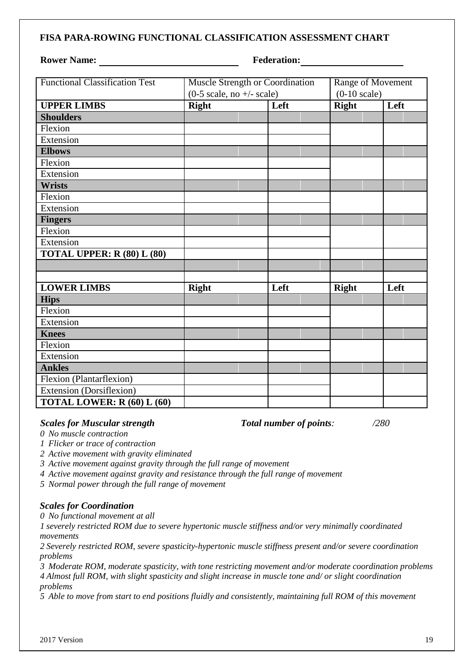#### **FISA PARA-ROWING FUNCTIONAL CLASSIFICATION ASSESSMENT CHART**

#### **Rower Name:** Federation:

| <b>Functional Classification Test</b> | Muscle Strength or Coordination                    |  | Range of Movement      |              |  |      |
|---------------------------------------|----------------------------------------------------|--|------------------------|--------------|--|------|
|                                       | $(0-5 \text{ scale}, \text{no} +/- \text{ scale})$ |  | $(0-10 \text{ scale})$ |              |  |      |
| <b>UPPER LIMBS</b>                    | <b>Right</b>                                       |  | Left                   | <b>Right</b> |  | Left |
| <b>Shoulders</b>                      |                                                    |  |                        |              |  |      |
| Flexion                               |                                                    |  |                        |              |  |      |
| Extension                             |                                                    |  |                        |              |  |      |
| <b>Elbows</b>                         |                                                    |  |                        |              |  |      |
| Flexion                               |                                                    |  |                        |              |  |      |
| Extension                             |                                                    |  |                        |              |  |      |
| <b>Wrists</b>                         |                                                    |  |                        |              |  |      |
| Flexion                               |                                                    |  |                        |              |  |      |
| Extension                             |                                                    |  |                        |              |  |      |
| <b>Fingers</b>                        |                                                    |  |                        |              |  |      |
| Flexion                               |                                                    |  |                        |              |  |      |
| Extension                             |                                                    |  |                        |              |  |      |
| <b>TOTAL UPPER: R (80) L (80)</b>     |                                                    |  |                        |              |  |      |
|                                       |                                                    |  |                        |              |  |      |
|                                       |                                                    |  |                        |              |  |      |
| <b>LOWER LIMBS</b>                    | <b>Right</b>                                       |  | Left                   | <b>Right</b> |  | Left |
| <b>Hips</b>                           |                                                    |  |                        |              |  |      |
| Flexion                               |                                                    |  |                        |              |  |      |
| Extension                             |                                                    |  |                        |              |  |      |
| <b>Knees</b>                          |                                                    |  |                        |              |  |      |
| Flexion                               |                                                    |  |                        |              |  |      |
| Extension                             |                                                    |  |                        |              |  |      |
| <b>Ankles</b>                         |                                                    |  |                        |              |  |      |
| Flexion (Plantarflexion)              |                                                    |  |                        |              |  |      |
| Extension (Dorsiflexion)              |                                                    |  |                        |              |  |      |
| TOTAL LOWER: R (60) L (60)            |                                                    |  |                        |              |  |      |

#### *Scales for Muscular strength Total number of points: /280*

*0 No muscle contraction*

- *1 Flicker or trace of contraction*
- *2 Active movement with gravity eliminated*
- *3 Active movement against gravity through the full range of movement*
- *4 Active movement against gravity and resistance through the full range of movement*
- *5 Normal power through the full range of movement*

#### *Scales for Coordination*

*0 No functional movement at all*

*1 severely restricted ROM due to severe hypertonic muscle stiffness and/or very minimally coordinated movements*

*2 Severely restricted ROM, severe spasticity-hypertonic muscle stiffness present and/or severe coordination problems*

*3 Moderate ROM, moderate spasticity, with tone restricting movement and/or moderate coordination problems 4 Almost full ROM, with slight spasticity and slight increase in muscle tone and/ or slight coordination problems*

*5 Able to move from start to end positions fluidly and consistently, maintaining full ROM of this movement*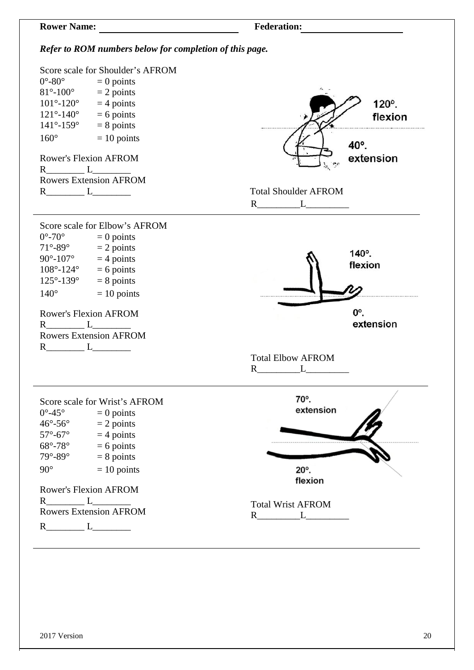

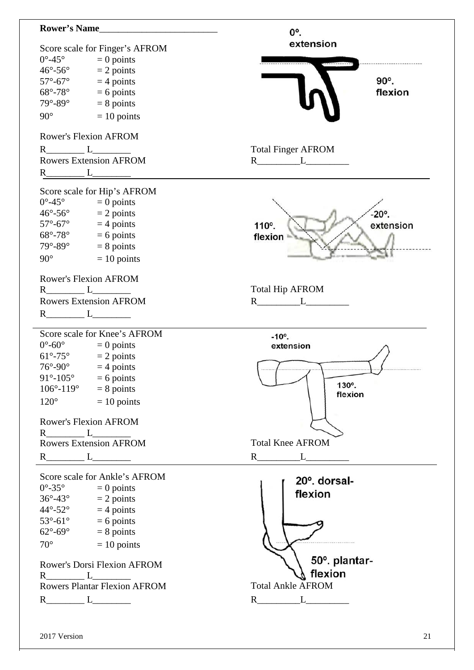| <b>Rower's Name</b>                                                | 0°.                            |
|--------------------------------------------------------------------|--------------------------------|
|                                                                    | extension                      |
| Score scale for Finger's AFROM<br>$0^{\circ}$ -45°<br>$= 0$ points |                                |
| $= 2$ points<br>$46^{\circ}$ -56 $^{\circ}$                        |                                |
| $57^\circ$ -67 $^\circ$<br>$=$ 4 points                            | 90°.                           |
| $68^\circ$ -78 $^\circ$<br>$= 6$ points                            | flexion                        |
| $= 8$ points<br>$79^\circ - 89^\circ$                              |                                |
| $90^\circ$<br>$= 10$ points                                        |                                |
| <b>Rower's Flexion AFROM</b>                                       |                                |
| $R_{\text{200}}L_{\text{200}}$                                     | <b>Total Finger AFROM</b>      |
| <b>Rowers Extension AFROM</b>                                      | $R_{\perp}$ $L_{\perp}$        |
| $R$ $L$ $L$                                                        |                                |
|                                                                    |                                |
| Score scale for Hip's AFROM                                        |                                |
| $0^{\circ}$ -45 $^{\circ}$<br>$= 0$ points                         |                                |
| $= 2$ points<br>$46^{\circ}$ -56 $^{\circ}$                        | $-20^\circ$ .                  |
| $57^\circ$ -67 $^\circ$<br>$=$ 4 points                            | extension<br>110°.             |
| $68^\circ$ -78 $^\circ$<br>$= 6$ points                            | flexion                        |
| $= 8$ points<br>$79^\circ - 89^\circ$                              |                                |
| $90^\circ$<br>$= 10$ points                                        |                                |
| <b>Rower's Flexion AFROM</b>                                       |                                |
| $R \qquad \qquad L \qquad \qquad L \qquad \qquad$                  | <b>Total Hip AFROM</b>         |
| <b>Rowers Extension AFROM</b>                                      |                                |
|                                                                    |                                |
| Score scale for Knee's AFROM                                       | $-10^{\circ}$ .                |
| $0^{\circ}$ -60 $^{\circ}$<br>$= 0$ points                         | extension                      |
| $61^{\circ} - 75^{\circ}$<br>$= 2$ points                          |                                |
| $76^\circ$ -90 $^\circ$<br>$=$ 4 points                            |                                |
| $91^{\circ} - 105^{\circ} = 6$ points                              |                                |
| $106^{\circ} - 119^{\circ}$<br>$= 8$ points                        | 130°.<br>flexion               |
| $= 10$ points<br>$120^{\circ}$                                     |                                |
| Rower's Flexion AFROM                                              |                                |
|                                                                    |                                |
| <b>Rowers Extension AFROM</b>                                      | <b>Total Knee AFROM</b>        |
|                                                                    | $R_{-}$                        |
|                                                                    |                                |
|                                                                    |                                |
| Score scale for Ankle's AFROM                                      | 20° dorsal-                    |
| $0^{\circ}$ -35 $^{\circ}$<br>$= 0$ points                         |                                |
| $36^\circ - 43^\circ$<br>$= 2$ points                              | flexion                        |
| $44^{\circ}$ -52 $^{\circ}$<br>$=$ 4 points                        |                                |
|                                                                    |                                |
| $53^{\circ}$ -61° = 6 points<br>62°-69° = 8 points                 |                                |
| $70^{\circ}$<br>$= 10$ points                                      |                                |
| Rower's Dorsi Flexion AFROM                                        | 50° plantar-                   |
|                                                                    | flexion                        |
| Rowers Plantar Flexion AFROM                                       | <b>Total Ankle AFROM</b>       |
|                                                                    | $\mathbf{L}$<br>$R$ and $\sim$ |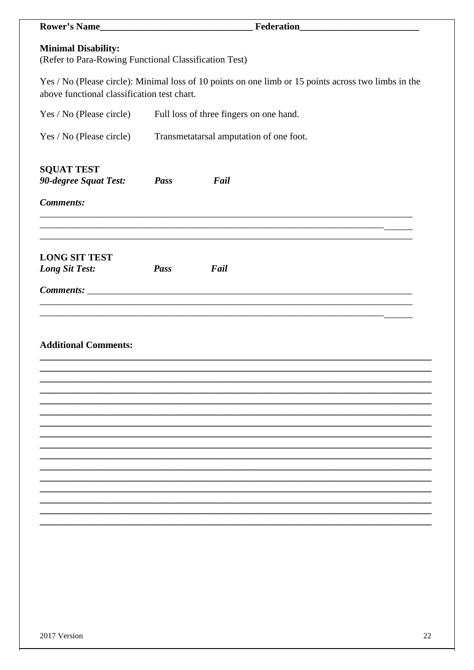| Rower's Name                                                                        |      |                                                                                                      |  |  |
|-------------------------------------------------------------------------------------|------|------------------------------------------------------------------------------------------------------|--|--|
| <b>Minimal Disability:</b><br>(Refer to Para-Rowing Functional Classification Test) |      |                                                                                                      |  |  |
| above functional classification test chart.                                         |      | Yes / No (Please circle): Minimal loss of 10 points on one limb or 15 points across two limbs in the |  |  |
| Yes / No (Please circle)                                                            |      | Full loss of three fingers on one hand.                                                              |  |  |
| Yes / No (Please circle)                                                            |      | Transmetatarsal amputation of one foot.                                                              |  |  |
| <b>SQUAT TEST</b><br>90-degree Squat Test:                                          | Pass | Fail                                                                                                 |  |  |
| <b>Comments:</b>                                                                    |      |                                                                                                      |  |  |
|                                                                                     |      |                                                                                                      |  |  |
| <b>LONG SIT TEST</b><br>Long Sit Test:                                              | Pass | Fail                                                                                                 |  |  |
|                                                                                     |      |                                                                                                      |  |  |
|                                                                                     |      |                                                                                                      |  |  |
| <b>Additional Comments:</b>                                                         |      |                                                                                                      |  |  |
|                                                                                     |      |                                                                                                      |  |  |
|                                                                                     |      |                                                                                                      |  |  |
|                                                                                     |      |                                                                                                      |  |  |
|                                                                                     |      |                                                                                                      |  |  |
|                                                                                     |      |                                                                                                      |  |  |
|                                                                                     |      |                                                                                                      |  |  |
|                                                                                     |      |                                                                                                      |  |  |
|                                                                                     |      |                                                                                                      |  |  |
|                                                                                     |      |                                                                                                      |  |  |
|                                                                                     |      |                                                                                                      |  |  |
|                                                                                     |      |                                                                                                      |  |  |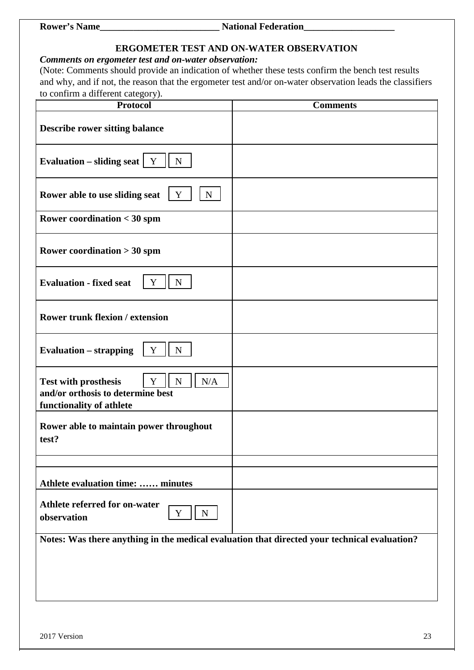**Rower's Name\_\_\_\_\_\_\_\_\_\_\_\_\_\_\_\_\_\_\_\_\_\_\_\_\_ National Federation\_\_\_\_\_\_\_\_\_\_\_\_\_\_\_\_\_\_\_**

#### **ERGOMETER TEST AND ON-WATER OBSERVATION**

## *Comments on ergometer test and on-water observation:*

(Note: Comments should provide an indication of whether these tests confirm the bench test results and why, and if not, the reason that the ergometer test and/or on-water observation leads the classifiers to confirm a different category).

| $\sim$ commun a anterest early $\sim$<br><b>Protocol</b>                                                                    | <b>Comments</b> |
|-----------------------------------------------------------------------------------------------------------------------------|-----------------|
| <b>Describe rower sitting balance</b>                                                                                       |                 |
| Evaluation – sliding seat $\mid Y \rangle$<br>$\mathbf N$                                                                   |                 |
| $N_{\rm}$<br>Rower able to use sliding seat<br>Y                                                                            |                 |
| <b>Rower coordination &lt; 30 spm</b>                                                                                       |                 |
| Rower coordination $>$ 30 spm                                                                                               |                 |
| <b>Evaluation - fixed seat</b><br>$\mathbf N$<br>Y                                                                          |                 |
| <b>Rower trunk flexion / extension</b>                                                                                      |                 |
| <b>Evaluation – strapping</b><br>Y<br>N                                                                                     |                 |
| Y<br>${\bf N}$<br>$\rm N/A$<br><b>Test with prosthesis</b><br>and/or orthosis to determine best<br>functionality of athlete |                 |
| Rower able to maintain power throughout<br>test?                                                                            |                 |
| Athlete evaluation time:  minutes                                                                                           |                 |
| Athlete referred for on-water<br>$\mathbf N$<br>Y<br>observation                                                            |                 |
| Notes: Was there anything in the medical evaluation that directed your technical evaluation?                                |                 |
|                                                                                                                             |                 |
|                                                                                                                             |                 |
|                                                                                                                             |                 |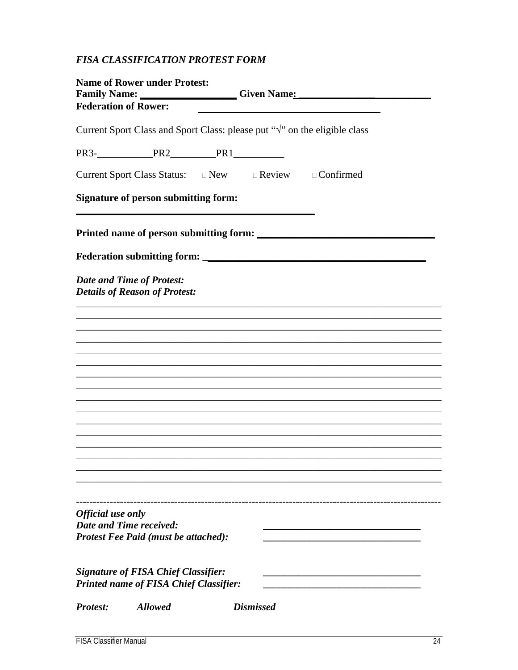## FISA CLASSIFICATION PROTEST FORM

| <b>Name of Rower under Protest:</b><br>Family Name: Given Name: Given Name:<br><b>Federation of Rower:</b> |                                                                                             |                  |  |
|------------------------------------------------------------------------------------------------------------|---------------------------------------------------------------------------------------------|------------------|--|
|                                                                                                            | Current Sport Class and Sport Class: please put " $\sqrt{ }$ " on the eligible class        |                  |  |
|                                                                                                            |                                                                                             |                  |  |
|                                                                                                            | Current Sport Class Status: $\Box$ New $\Box$ Review $\Box$ Confirmed                       |                  |  |
|                                                                                                            | <b>Signature of person submitting form:</b>                                                 |                  |  |
|                                                                                                            |                                                                                             |                  |  |
|                                                                                                            |                                                                                             |                  |  |
|                                                                                                            | <b>Date and Time of Protest:</b><br><b>Details of Reason of Protest:</b>                    |                  |  |
|                                                                                                            |                                                                                             |                  |  |
|                                                                                                            |                                                                                             |                  |  |
|                                                                                                            |                                                                                             |                  |  |
|                                                                                                            |                                                                                             |                  |  |
|                                                                                                            |                                                                                             |                  |  |
|                                                                                                            |                                                                                             |                  |  |
|                                                                                                            |                                                                                             |                  |  |
|                                                                                                            |                                                                                             |                  |  |
|                                                                                                            |                                                                                             |                  |  |
|                                                                                                            |                                                                                             |                  |  |
| Official use only                                                                                          | <b>Date and Time received:</b><br><b>Protest Fee Paid (must be attached):</b>               |                  |  |
|                                                                                                            | <b>Signature of FISA Chief Classifier:</b><br><b>Printed name of FISA Chief Classifier:</b> |                  |  |
| <b>Protest:</b>                                                                                            | <b>Allowed</b>                                                                              | <b>Dismissed</b> |  |